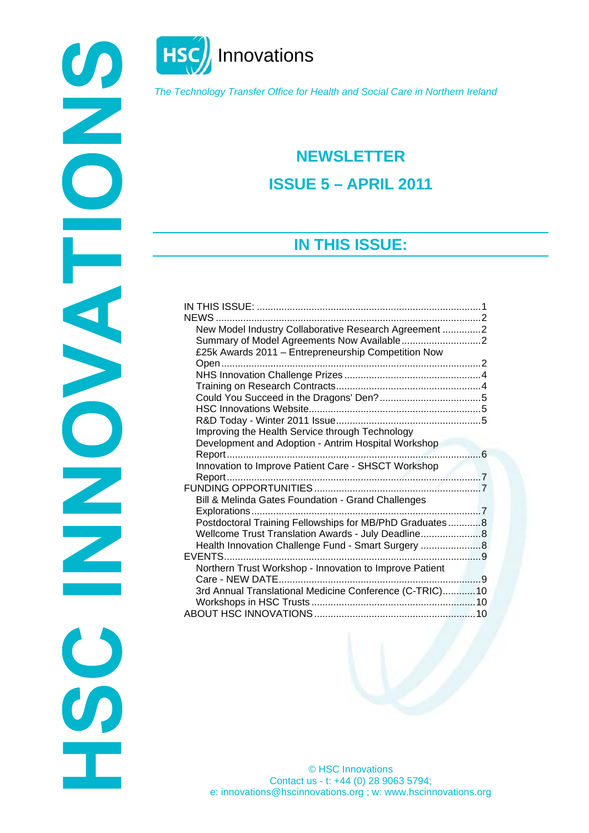

**HSC** Innovations

*The Technology Transfer Office for Health and Social Care in Northern Ireland* 

# **NEWSLETTER ISSUE 5 – APRIL 2011**

## **IN THIS ISSUE:**

<span id="page-0-0"></span>

© HSC Innovations Contact us - t: +44 (0) 28 9063 5794; e: innovations@hscinnovations.org ; w: www.hscinnovations.org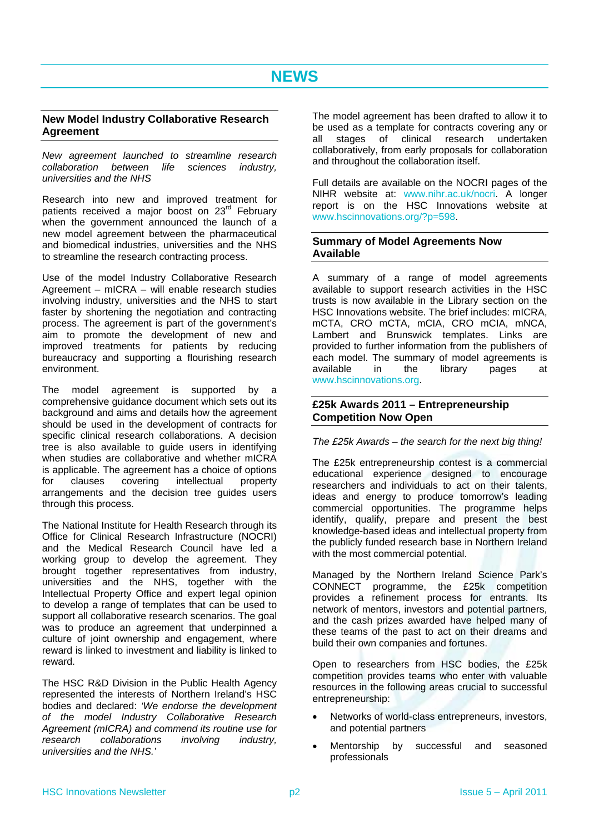### <span id="page-1-1"></span><span id="page-1-0"></span>**New Model Industry Collaborative Research Agreement**

*New agreement launched to streamline research collaboration between life sciences industry, universities and the NHS* 

<span id="page-1-2"></span>Research into new and improved treatment for patients received a major boost on 23<sup>rd</sup> February when the government announced the launch of a new model agreement between the pharmaceutical and biomedical industries, universities and the NHS to streamline the research contracting process.

Use of the model Industry Collaborative Research Agreement – mICRA – will enable research studies involving industry, universities and the NHS to start faster by shortening the negotiation and contracting process. The agreement is part of the government's aim to promote the development of new and improved treatments for patients by reducing bureaucracy and supporting a flourishing research environment.

<span id="page-1-3"></span>The model agreement is supported by a comprehensive guidance document which sets out its background and aims and details how the agreement should be used in the development of contracts for specific clinical research collaborations. A decision tree is also available to guide users in identifying when studies are collaborative and whether mICRA is applicable. The agreement has a choice of options for clauses covering intellectual property arrangements and the decision tree guides users through this process.

The National Institute for Health Research through its Office for Clinical Research Infrastructure (NOCRI) and the Medical Research Council have led a working group to develop the agreement. They brought together representatives from industry, universities and the NHS, together with the Intellectual Property Office and expert legal opinion to develop a range of templates that can be used to support all collaborative research scenarios. The goal was to produce an agreement that underpinned a culture of joint ownership and engagement, where reward is linked to investment and liability is linked to reward.

The HSC R&D Division in the Public Health Agency represented the interests of Northern Ireland's HSC bodies and declared: *'We endorse the development of the model Industry Collaborative Research Agreement (mICRA) and commend its routine use for research collaborations involving industry, universities and the NHS.'*

The model agreement has been drafted to allow it to be used as a template for contracts covering any or all stages of clinical research undertaken collaboratively, from early proposals for collaboration and throughout the collaboration itself.

Full details are available on the NOCRI pages of the NIHR website at: [www.nihr.ac.uk/nocri](http://www.nihr.ac.uk/nocri). A longer report is on the HSC Innovations website at [www.hscinnovations.org/?p=598.](http://www.hscinnovations.org/?p=598)

### **Summary of Model Agreements Now Available**

A summary of a range of model agreements available to support research activities in the HSC trusts is now available in the Library section on the HSC Innovations website. The brief includes: mICRA, mCTA, CRO mCTA, mCIA, CRO mCIA, mNCA, Lambert and Brunswick templates. Links are provided to further information from the publishers of each model. The summary of model agreements is available in the library pages at [www.hscinnovations.org.](http://www.hscinnovations.org/)

### **£25k Awards 2011 – Entrepreneurship Competition Now Open**

### *The £25k Awards – the search for the next big thing!*

The £25k entrepreneurship contest is a commercial educational experience designed to encourage researchers and individuals to act on their talents, ideas and energy to produce tomorrow's leading commercial opportunities. The programme helps identify, qualify, prepare and present the best knowledge-based ideas and intellectual property from the publicly funded research base in Northern Ireland with the most commercial potential.

Managed by the Northern Ireland Science Park's CONNECT programme, the £25k competition provides a refinement process for entrants. Its network of mentors, investors and potential partners, and the cash prizes awarded have helped many of these teams of the past to act on their dreams and build their own companies and fortunes.

Open to researchers from HSC bodies, the £25k competition provides teams who enter with valuable resources in the following areas crucial to successful entrepreneurship:

- Networks of world-class entrepreneurs, investors, and potential partners
- Mentorship by successful and seasoned professionals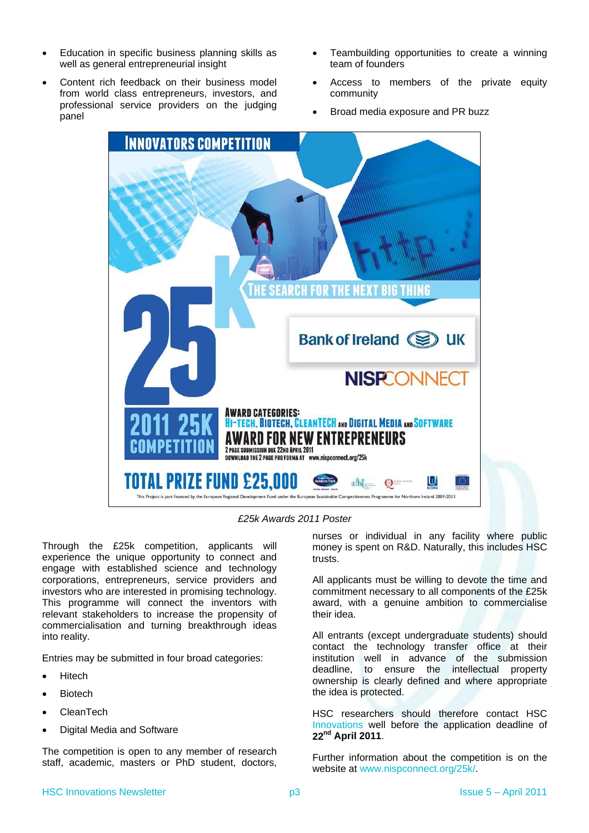- Education in specific business planning skills as well as general entrepreneurial insight
- Content rich feedback on their business model from world class entrepreneurs, investors, and professional service providers on the judging panel
- Teambuilding opportunities to create a winning team of founders
- Access to members of the private equity community
- Broad media exposure and PR buzz



*£25k Awards 2011 Poster* 

Through the £25k competition, applicants will experience the unique opportunity to connect and engage with established science and technology corporations, entrepreneurs, service providers and investors who are interested in promising technology. This programme will connect the inventors with relevant stakeholders to increase the propensity of commercialisation and turning breakthrough ideas into reality.

Entries may be submitted in four broad categories:

- Hitech
- Biotech
- CleanTech
- Digital Media and Software

The competition is open to any member of research staff, academic, masters or PhD student, doctors,

nurses or individual in any facility where public money is spent on R&D. Naturally, this includes HSC trusts.

All applicants must be willing to devote the time and commitment necessary to all components of the £25k award, with a genuine ambition to commercialise their idea.

All entrants (except undergraduate students) should contact the technology transfer office at their institution well in advance of the submission deadline, to ensure the intellectual property ownership is clearly defined and where appropriate the idea is protected.

HSC researchers should therefore contact HSC [Innovations](#page-9-3) well before the application deadline of **22nd April 2011**.

Further information about the competition is on the website at [www.nispconnect.org/25k/](http://www.nispconnect.org/25k/).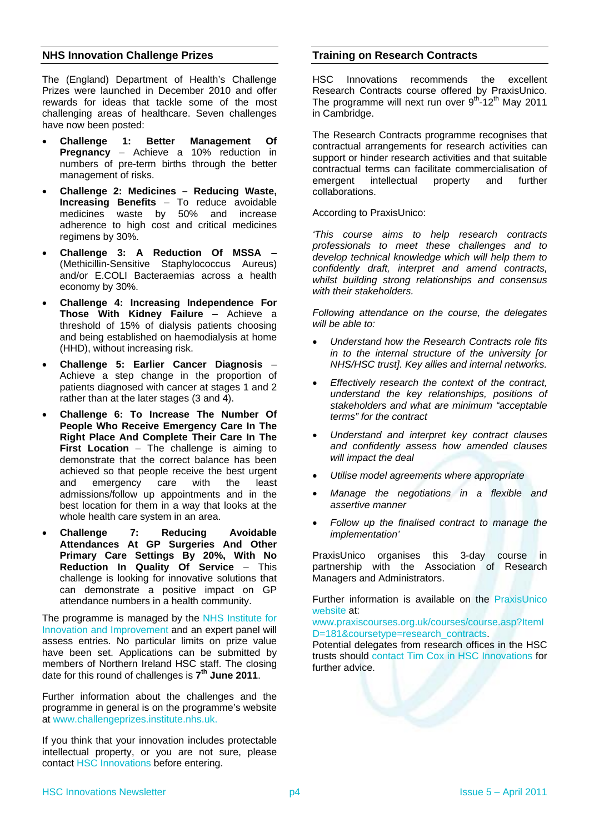### <span id="page-3-0"></span>**NHS Innovation Challenge Prizes**

The (England) Department of Health's Challenge Prizes were launched in December 2010 and offer rewards for ideas that tackle some of the most challenging areas of healthcare. Seven challenges have now been posted:

- **Challenge 1: Better Management Of Pregnancy** – Achieve a 10% reduction in numbers of pre-term births through the better management of risks.
- **Challenge 2: Medicines Reducing Waste, Increasing Benefits** – To reduce avoidable medicines waste by 50% and increase adherence to high cost and critical medicines regimens by 30%.
- **Challenge 3: A Reduction Of MSSA** (Methicillin-Sensitive Staphylococcus Aureus) and/or E.COLI Bacteraemias across a health economy by 30%.
- **Challenge 4: Increasing Independence For Those With Kidney Failure** – Achieve a threshold of 15% of dialysis patients choosing and being established on haemodialysis at home (HHD), without increasing risk.
- **Challenge 5: Earlier Cancer Diagnosis** Achieve a step change in the proportion of patients diagnosed with cancer at stages 1 and 2 rather than at the later stages (3 and 4).
- **Challenge 6: To Increase The Number Of People Who Receive Emergency Care In The Right Place And Complete Their Care In The First Location** – The challenge is aiming to demonstrate that the correct balance has been achieved so that people receive the best urgent and emergency care with the least admissions/follow up appointments and in the best location for them in a way that looks at the whole health care system in an area.
- **Challenge 7: Reducing Avoidable Attendances At GP Surgeries And Other Primary Care Settings By 20%, With No Reduction In Quality Of Service** – This challenge is looking for innovative solutions that can demonstrate a positive impact on GP attendance numbers in a health community.

The programme is managed by the [NHS Institute for](http://www.institute.nhs.uk/)  [Innovation and Improvement](http://www.institute.nhs.uk/) and an expert panel will assess entries. No particular limits on prize value have been set. Applications can be submitted by members of Northern Ireland HSC staff. The closing date for this round of challenges is **7th June 2011**.

Further information about the challenges and the programme in general is on the programme's website at [www.challengeprizes.institute.nhs.uk.](http://www.challengeprizes.institute.nhs.uk/)

If you think that your innovation includes protectable intellectual property, or you are not sure, please contact [HSC Innovations](#page-9-3) before entering.

### **Training on Research Contracts**

HSC Innovations recommends the excellent Research Contracts course offered by PraxisUnico. The programme will next run over  $9^{th}$ -12<sup>th</sup> May 2011 in Cambridge.

The Research Contracts programme recognises that contractual arrangements for research activities can support or hinder research activities and that suitable contractual terms can facilitate commercialisation of emergent intellectual property and further collaborations.

According to PraxisUnico:

*'This course aims to help research contracts professionals to meet these challenges and to develop technical knowledge which will help them to confidently draft, interpret and amend contracts, whilst building strong relationships and consensus with their stakeholders.* 

*Following attendance on the course, the delegates will be able to:* 

- *Understand how the Research Contracts role fits in to the internal structure of the university [or NHS/HSC trust]. Key allies and internal networks.*
- *Effectively research the context of the contract, understand the key relationships, positions of stakeholders and what are minimum "acceptable terms" for the contract*
- *Understand and interpret key contract clauses and confidently assess how amended clauses will impact the deal*
- *Utilise model agreements where appropriate*
- *Manage the negotiations in a flexible and assertive manner*
- *Follow up the finalised contract to manage the implementation'*

PraxisUnico organises this 3-day course in partnership with the Association of Research Managers and Administrators.

Further information is available on the [PraxisUnico](http://www.praxisunico.org.uk/)  [website](http://www.praxisunico.org.uk/) at:

[www.praxiscourses.org.uk/courses/course.asp?ItemI](http://www.praxiscourses.org.uk/courses/course.asp?ItemID=181&coursetype=research_contracts) [D=181&coursetype=research\\_contracts.](http://www.praxiscourses.org.uk/courses/course.asp?ItemID=181&coursetype=research_contracts)

Potential delegates from research offices in the HSC trusts should [contact Tim Cox in HSC Innovations](#page-9-3) for further advice.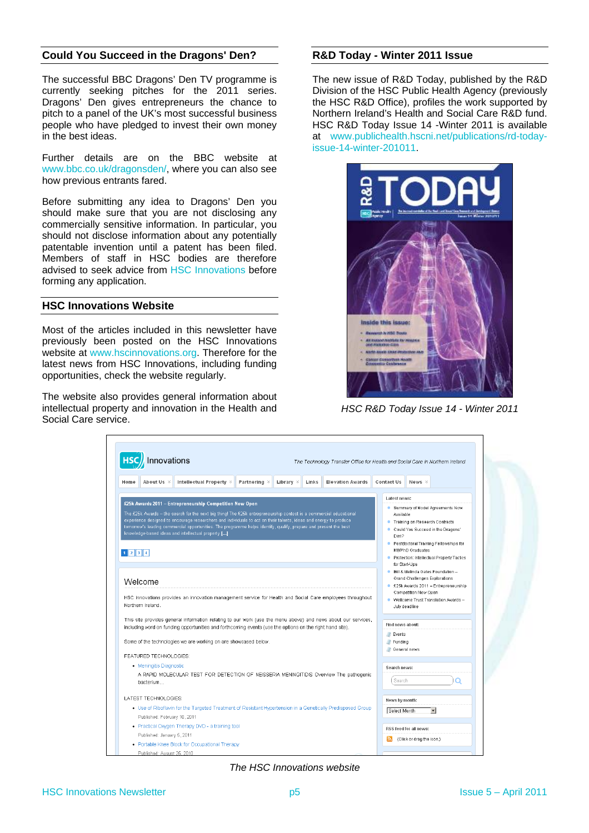### <span id="page-4-0"></span>**Could You Succeed in the Dragons' Den? R&D Today - Winter 2011 Issue**

The successful BBC Dragons' Den TV programme is currently seeking pitches for the 2011 series. Dragons' Den gives entrepreneurs the chance to pitch to a panel of the UK's most successful business people who have pledged to invest their own money in the best ideas.

Further details are on the BBC website at [www.bbc.co.uk/dragonsden/](http://www.bbc.co.uk/dragonsden/), where you can also see how previous entrants fared.

Before submitting any idea to Dragons' Den you should make sure that you are not disclosing any commercially sensitive information. In particular, you should not disclose information about any potentially patentable invention until a patent has been filed. Members of staff in HSC bodies are therefore advised to seek advice from [HSC Innovations](#page-9-3) before forming any application.

#### <span id="page-4-1"></span>**HSC Innovations Website**

Most of the articles included in this newsletter have previously been posted on the HSC Innovations website at [www.hscinnovations.org.](http://www.hscinnovations.org/) Therefore for the latest news from HSC Innovations, including funding opportunities, check the website regularly.

The website also provides general information about intellectual property and innovation in the Health and Social Care service.

The new issue of R&D Today, published by the R&D Division of the HSC Public Health Agency (previously the HSC R&D Office), profiles the work supported by Northern Ireland's Health and Social Care R&D fund. HSC R&D Today Issue 14 -Winter 2011 is available at [www.publichealth.hscni.net/publications/rd-today](http://www.publichealth.hscni.net/publications/rd-today-issue-14-winter-201011)[issue-14-winter-201011](http://www.publichealth.hscni.net/publications/rd-today-issue-14-winter-201011).



*HSC R&D Today Issue 14 - Winter 2011* 

| Innovations                                                                                                                                                                                                                                                                                                                                                                                                                                                                                      |                           | The Technology Transfer Office for Health and Social Care in Northern Ireland                                                                                                                                                             |                                |                           |                                                                                                               |  |
|--------------------------------------------------------------------------------------------------------------------------------------------------------------------------------------------------------------------------------------------------------------------------------------------------------------------------------------------------------------------------------------------------------------------------------------------------------------------------------------------------|---------------------------|-------------------------------------------------------------------------------------------------------------------------------------------------------------------------------------------------------------------------------------------|--------------------------------|---------------------------|---------------------------------------------------------------------------------------------------------------|--|
| Intellectual Property %<br>About Us $\vee$<br>Partnering $\vee$<br>Home                                                                                                                                                                                                                                                                                                                                                                                                                          | Library $\times$<br>Links | <b>Elevation Awards</b>                                                                                                                                                                                                                   | <b>Contact Us</b>              | News $\vee$               |                                                                                                               |  |
|                                                                                                                                                                                                                                                                                                                                                                                                                                                                                                  |                           |                                                                                                                                                                                                                                           |                                | Latest news:              |                                                                                                               |  |
| £25k Awards 2011 - Entrepreneurship Competition Now Open<br>The £25k Awards – the search for the next big thing! The £25k entrepreneurship contest is a commercial educational<br>experience designed to encourage researchers and individuals to act on their talents, ideas and energy to produce<br>tomorrow's leading commercial opportunities. The programme helps identify, qualify, prepare and present the best<br>knowledge-based ideas and intellectual property []<br>$1$ $2$ $3$ $4$ |                           | Summary of Model Agreements Now<br>Available<br>● Training on Research Contracts<br>Could You Succeed in the Dragons'<br>Den?<br>● Postdoctoral Training Fellowships for<br>MB/PhD Graduates<br>Protection: Intellectual Property Tactics |                                |                           |                                                                                                               |  |
| Welcome                                                                                                                                                                                                                                                                                                                                                                                                                                                                                          |                           |                                                                                                                                                                                                                                           | for Start-Ups                  | Competition Now Open      | · Bill & Melinda Gates Foundation -<br>Grand Challenges Explorations<br>● £25k Awards 2011 - Entrepreneurship |  |
| HSC Innovations provides an innovation management service for Health and Social Care employees throughout<br>Northern Ireland.                                                                                                                                                                                                                                                                                                                                                                   |                           |                                                                                                                                                                                                                                           |                                | July deadline             | • Wellcome Trust Translation Awards -                                                                         |  |
| This site provides general information relating to our work (use the menu above) and news about our services,<br>including word on funding opportunities and forthcoming events (use the options on the right hand site).                                                                                                                                                                                                                                                                        |                           |                                                                                                                                                                                                                                           | Find news about:<br>Events     |                           |                                                                                                               |  |
| Some of the technologies we are working on are showcased below.                                                                                                                                                                                                                                                                                                                                                                                                                                  |                           |                                                                                                                                                                                                                                           | Funding<br><b>General news</b> |                           |                                                                                                               |  |
| FEATURED TECHNOLOGIES:                                                                                                                                                                                                                                                                                                                                                                                                                                                                           |                           |                                                                                                                                                                                                                                           |                                |                           |                                                                                                               |  |
| • Meningitis Diagnostic<br>A RAPID MOLECULAR TEST FOR DETECTION OF NEISSERIA MENINGITIDIS Overview The pathogenic<br>bacterium                                                                                                                                                                                                                                                                                                                                                                   |                           |                                                                                                                                                                                                                                           | Search news:<br>Search<br>∩    |                           |                                                                                                               |  |
| LATEST TECHNOLOGIES:                                                                                                                                                                                                                                                                                                                                                                                                                                                                             |                           |                                                                                                                                                                                                                                           | News by month:                 |                           |                                                                                                               |  |
| • Use of Riboflavin for the Targeted Treatment of Resistant Hypertension in a Genetically Predisposed Group<br>Published: February 10, 2011                                                                                                                                                                                                                                                                                                                                                      |                           |                                                                                                                                                                                                                                           | Select Month                   |                           | $\overline{\phantom{a}}$                                                                                      |  |
| • Practical Oxygen Therapy DVD - a training tool                                                                                                                                                                                                                                                                                                                                                                                                                                                 |                           |                                                                                                                                                                                                                                           |                                | RSS feed for all news:    |                                                                                                               |  |
| Published: January 5, 2011                                                                                                                                                                                                                                                                                                                                                                                                                                                                       |                           |                                                                                                                                                                                                                                           | N                              | (Click or drag the icon.) |                                                                                                               |  |
| • Portable Knee Block for Occupational Therapy<br>Published: August 25, 2010                                                                                                                                                                                                                                                                                                                                                                                                                     |                           |                                                                                                                                                                                                                                           |                                |                           |                                                                                                               |  |

*The HSC Innovations website*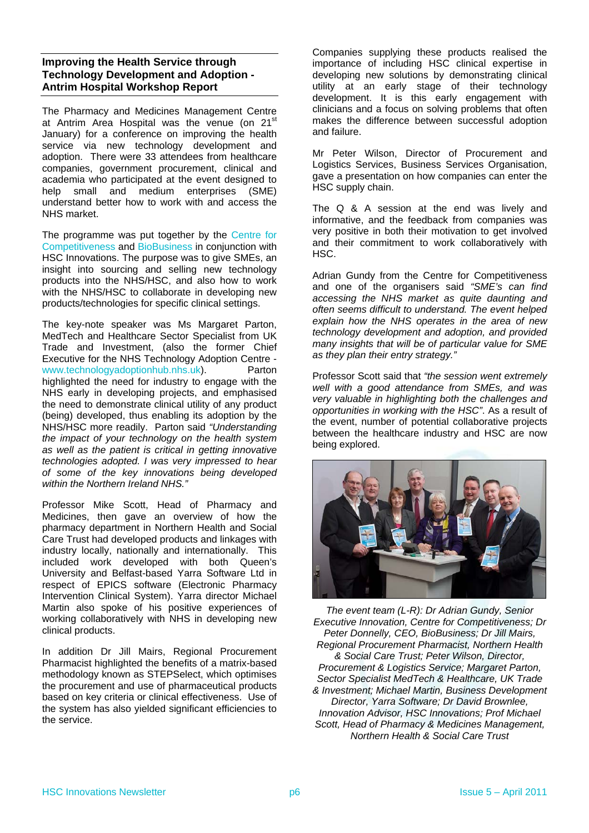### <span id="page-5-0"></span>**Improving the Health Service through Technology Development and Adoption - Antrim Hospital Workshop Report**

The Pharmacy and Medicines Management Centre at Antrim Area Hospital was the venue (on 21<sup>st</sup> January) for a conference on improving the health service via new technology development and adoption. There were 33 attendees from healthcare companies, government procurement, clinical and academia who participated at the event designed to help small and medium enterprises (SME) understand better how to work with and access the NHS market.

The programme was put together by the [Centre for](http://www.cforc.org/)  [Competitiveness](http://www.cforc.org/) and [BioBusiness](http://www.biobusinessni.org/) in conjunction with HSC Innovations. The purpose was to give SMEs, an insight into sourcing and selling new technology products into the NHS/HSC, and also how to work with the NHS/HSC to collaborate in developing new products/technologies for specific clinical settings.

The key-note speaker was Ms Margaret Parton, MedTech and Healthcare Sector Specialist from UK Trade and Investment, (also the former Chief Executive for the NHS Technology Adoption Centre [www.technologyadoptionhub.nhs.uk\)](http://www.technologyadoptionhub.nhs.uk/). Parton highlighted the need for industry to engage with the NHS early in developing projects, and emphasised the need to demonstrate clinical utility of any product (being) developed, thus enabling its adoption by the NHS/HSC more readily. Parton said *"Understanding the impact of your technology on the health system as well as the patient is critical in getting innovative technologies adopted. I was very impressed to hear of some of the key innovations being developed within the Northern Ireland NHS."*

Professor Mike Scott, Head of Pharmacy and Medicines, then gave an overview of how the pharmacy department in Northern Health and Social Care Trust had developed products and linkages with industry locally, nationally and internationally. This included work developed with both Queen's University and Belfast-based Yarra Software Ltd in respect of EPICS software (Electronic Pharmacy Intervention Clinical System). Yarra director Michael Martin also spoke of his positive experiences of working collaboratively with NHS in developing new clinical products.

In addition Dr Jill Mairs, Regional Procurement Pharmacist highlighted the benefits of a matrix-based methodology known as STEPSelect, which optimises the procurement and use of pharmaceutical products based on key criteria or clinical effectiveness. Use of the system has also yielded significant efficiencies to the service.

Companies supplying these products realised the importance of including HSC clinical expertise in developing new solutions by demonstrating clinical utility at an early stage of their technology development. It is this early engagement with clinicians and a focus on solving problems that often makes the difference between successful adoption and failure.

Mr Peter Wilson, Director of Procurement and Logistics Services, Business Services Organisation, gave a presentation on how companies can enter the HSC supply chain.

The Q & A session at the end was lively and informative, and the feedback from companies was very positive in both their motivation to get involved and their commitment to work collaboratively with HSC.

Adrian Gundy from the Centre for Competitiveness and one of the organisers said *"SME's can find accessing the NHS market as quite daunting and often seems difficult to understand. The event helped explain how the NHS operates in the area of new technology development and adoption, and provided many insights that will be of particular value for SME as they plan their entry strategy."* 

Professor Scott said that *"the session went extremely well with a good attendance from SMEs, and was very valuable in highlighting both the challenges and opportunities in working with the HSC"*. As a result of the event, number of potential collaborative projects between the healthcare industry and HSC are now being explored.



*The event team (L-R): Dr Adrian Gundy, Senior Executive Innovation, Centre for Competitiveness; Dr Peter Donnelly, CEO, BioBusiness; Dr Jill Mairs, Regional Procurement Pharmacist, Northern Health & Social Care Trust; Peter Wilson, Director, Procurement & Logistics Service; Margaret Parton, Sector Specialist MedTech & Healthcare, UK Trade & Investment; Michael Martin, Business Development Director, Yarra Software; Dr David Brownlee, Innovation Advisor, HSC Innovations; Prof Michael Scott, Head of Pharmacy & Medicines Management, Northern Health & Social Care Trust*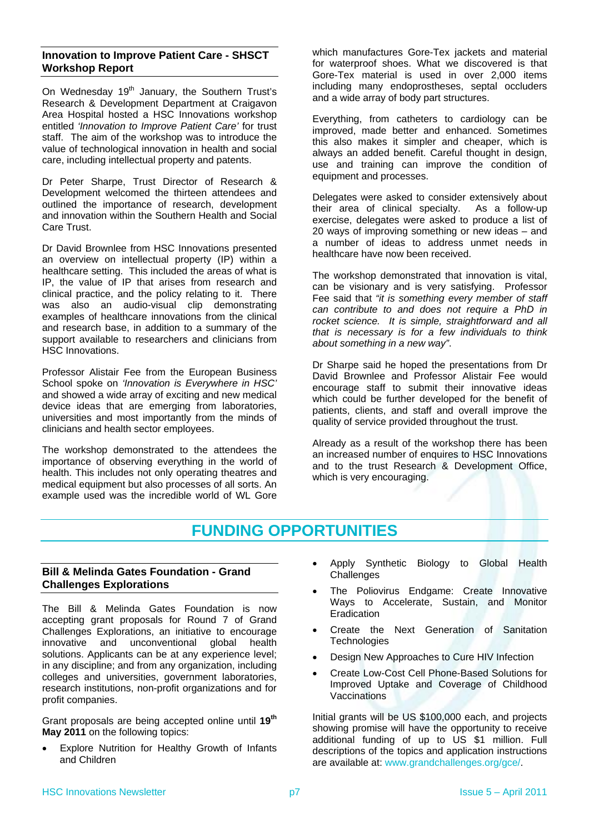### <span id="page-6-0"></span>**Innovation to Improve Patient Care - SHSCT Workshop Report**

On Wednesday 19<sup>th</sup> January, the Southern Trust's Research & Development Department at Craigavon Area Hospital hosted a HSC Innovations workshop entitled *'Innovation to Improve Patient Care'* for trust staff. The aim of the workshop was to introduce the value of technological innovation in health and social care, including intellectual property and patents.

Dr Peter Sharpe, Trust Director of Research & Development welcomed the thirteen attendees and outlined the importance of research, development and innovation within the Southern Health and Social Care Trust.

Dr David Brownlee from HSC Innovations presented an overview on intellectual property (IP) within a healthcare setting. This included the areas of what is IP, the value of IP that arises from research and clinical practice, and the policy relating to it. There was also an audio-visual clip demonstrating examples of healthcare innovations from the clinical and research base, in addition to a summary of the support available to researchers and clinicians from HSC Innovations.

Professor Alistair Fee from the European Business School spoke on *'Innovation is Everywhere in HSC'* and showed a wide array of exciting and new medical device ideas that are emerging from laboratories, universities and most importantly from the minds of clinicians and health sector employees.

The workshop demonstrated to the attendees the importance of observing everything in the world of health. This includes not only operating theatres and medical equipment but also processes of all sorts. An example used was the incredible world of WL Gore

which manufactures Gore-Tex jackets and material for waterproof shoes. What we discovered is that Gore-Tex material is used in over 2,000 items including many endoprostheses, septal occluders and a wide array of body part structures.

Everything, from catheters to cardiology can be improved, made better and enhanced. Sometimes this also makes it simpler and cheaper, which is always an added benefit. Careful thought in design, use and training can improve the condition of equipment and processes.

Delegates were asked to consider extensively about their area of clinical specialty. As a follow-up exercise, delegates were asked to produce a list of 20 ways of improving something or new ideas – and a number of ideas to address unmet needs in healthcare have now been received.

The workshop demonstrated that innovation is vital, can be visionary and is very satisfying. Professor Fee said that *"it is something every member of staff can contribute to and does not require a PhD in rocket science. It is simple, straightforward and all that is necessary is for a few individuals to think about something in a new way"*.

Dr Sharpe said he hoped the presentations from Dr David Brownlee and Professor Alistair Fee would encourage staff to submit their innovative ideas which could be further developed for the benefit of patients, clients, and staff and overall improve the quality of service provided throughout the trust.

Already as a result of the workshop there has been an increased number of enquires to HSC Innovations and to the trust Research & Development Office, which is very encouraging.

### **FUNDING OPPORTUNITIES**

### <span id="page-6-2"></span><span id="page-6-1"></span>**Bill & Melinda Gates Foundation - Grand Challenges Explorations**

The Bill & Melinda Gates Foundation is now accepting grant proposals for Round 7 of Grand Challenges Explorations, an initiative to encourage innovative and unconventional global health solutions. Applicants can be at any experience level; in any discipline; and from any organization, including colleges and universities, government laboratories, research institutions, non-profit organizations and for profit companies.

Grant proposals are being accepted online until **19th May 2011** on the following topics:

 Explore Nutrition for Healthy Growth of Infants and Children

- Apply Synthetic Biology to Global Health **Challenges**
- The Poliovirus Endgame: Create Innovative Ways to Accelerate, Sustain, and Monitor Eradication
- Create the Next Generation of Sanitation **Technologies**
- Design New Approaches to Cure HIV Infection
- Create Low-Cost Cell Phone-Based Solutions for Improved Uptake and Coverage of Childhood Vaccinations

Initial grants will be US \$100,000 each, and projects showing promise will have the opportunity to receive additional funding of up to US \$1 million. Full descriptions of the topics and application instructions are available at: [www.grandchallenges.org/gce/.](http://www.grandchallenges.org/gce/)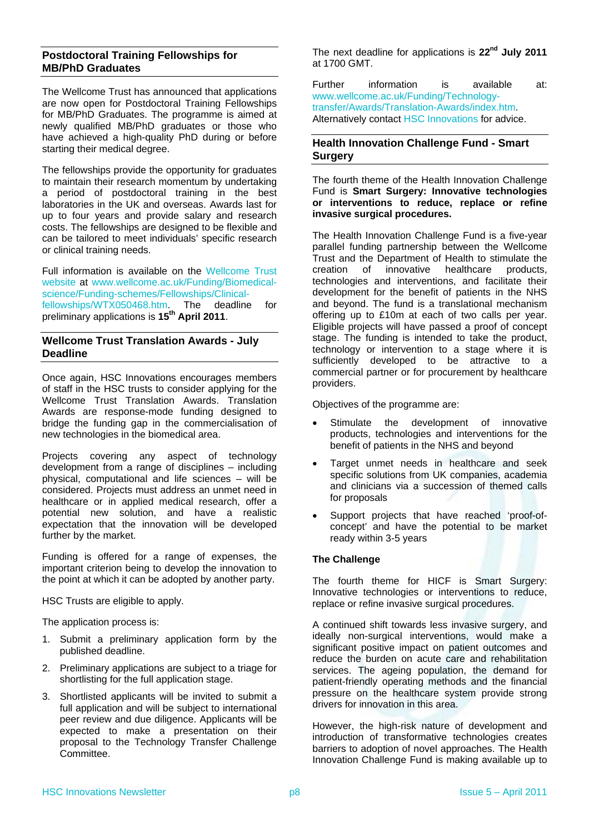### <span id="page-7-0"></span>**Postdoctoral Training Fellowships for MB/PhD Graduates**

The Wellcome Trust has announced that applications are now open for Postdoctoral Training Fellowships for MB/PhD Graduates. The programme is aimed at newly qualified MB/PhD graduates or those who have achieved a high-quality PhD during or before starting their medical degree.

<span id="page-7-2"></span>The fellowships provide the opportunity for graduates to maintain their research momentum by undertaking a period of postdoctoral training in the best laboratories in the UK and overseas. Awards last for up to four years and provide salary and research costs. The fellowships are designed to be flexible and can be tailored to meet individuals' specific research or clinical training needs.

Full information is available on the [Wellcome Trust](http://www.wellcome.ac.uk/)  [website](http://www.wellcome.ac.uk/) at [www.wellcome.ac.uk/Funding/Biomedical](http://www.wellcome.ac.uk/Funding/Biomedical-science/Funding-schemes/Fellowships/Clinical-fellowships/WTX050468.htm)[science/Funding-schemes/Fellowships/Clinical](http://www.wellcome.ac.uk/Funding/Biomedical-science/Funding-schemes/Fellowships/Clinical-fellowships/WTX050468.htm)[fellowships/WTX050468.htm](http://www.wellcome.ac.uk/Funding/Biomedical-science/Funding-schemes/Fellowships/Clinical-fellowships/WTX050468.htm). The deadline for preliminary applications is **15th April 2011**.

### <span id="page-7-1"></span>**Wellcome Trust Translation Awards - July Deadline**

Once again, HSC Innovations encourages members of staff in the HSC trusts to consider applying for the Wellcome Trust Translation Awards. Translation Awards are response-mode funding designed to bridge the funding gap in the commercialisation of new technologies in the biomedical area.

Projects covering any aspect of technology development from a range of disciplines – including physical, computational and life sciences – will be considered. Projects must address an unmet need in healthcare or in applied medical research, offer a potential new solution, and have a realistic expectation that the innovation will be developed further by the market.

Funding is offered for a range of expenses, the important criterion being to develop the innovation to the point at which it can be adopted by another party.

HSC Trusts are eligible to apply.

The application process is:

- 1. Submit a preliminary application form by the published deadline.
- 2. Preliminary applications are subject to a triage for shortlisting for the full application stage.
- 3. Shortlisted applicants will be invited to submit a full application and will be subject to international peer review and due diligence. Applicants will be expected to make a presentation on their proposal to the Technology Transfer Challenge Committee.

The next deadline for applications is 22<sup>nd</sup> July 2011 at 1700 GMT.

Further information is available at: [www.wellcome.ac.uk/Funding/Technology](http://www.wellcome.ac.uk/Funding/Technology-transfer/Awards/Translation-Awards/index.htm)[transfer/Awards/Translation-Awards/index.htm.](http://www.wellcome.ac.uk/Funding/Technology-transfer/Awards/Translation-Awards/index.htm) Alternatively contact [HSC Innovations](#page-9-3) for advice.

### **Health Innovation Challenge Fund - Smart Surgery**

The fourth theme of the Health Innovation Challenge Fund is **Smart Surgery: Innovative technologies or interventions to reduce, replace or refine invasive surgical procedures.**

The Health Innovation Challenge Fund is a five-year parallel funding partnership between the Wellcome Trust and the Department of Health to stimulate the creation of innovative healthcare products, technologies and interventions, and facilitate their development for the benefit of patients in the NHS and beyond. The fund is a translational mechanism offering up to £10m at each of two calls per year. Eligible projects will have passed a proof of concept stage. The funding is intended to take the product, technology or intervention to a stage where it is sufficiently developed to be attractive to a commercial partner or for procurement by healthcare providers.

Objectives of the programme are:

- Stimulate the development of innovative products, technologies and interventions for the benefit of patients in the NHS and beyond
- Target unmet needs in healthcare and seek specific solutions from UK companies, academia and clinicians via a succession of themed calls for proposals
- Support projects that have reached 'proof-ofconcept' and have the potential to be market ready within 3-5 years

### **The Challenge**

The fourth theme for HICF is Smart Surgery: Innovative technologies or interventions to reduce, replace or refine invasive surgical procedures.

A continued shift towards less invasive surgery, and ideally non-surgical interventions, would make a significant positive impact on patient outcomes and reduce the burden on acute care and rehabilitation services. The ageing population, the demand for patient-friendly operating methods and the financial pressure on the healthcare system provide strong drivers for innovation in this area.

However, the high-risk nature of development and introduction of transformative technologies creates barriers to adoption of novel approaches. The Health Innovation Challenge Fund is making available up to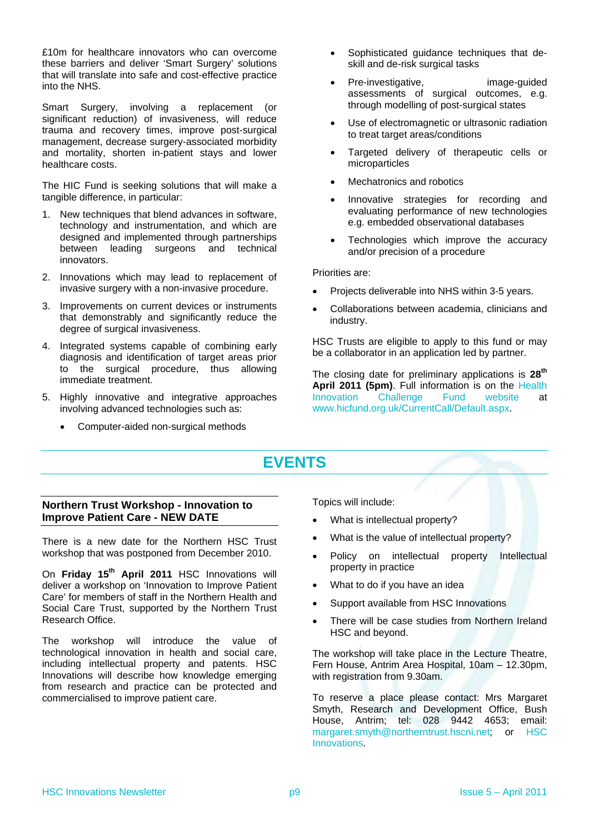£10m for healthcare innovators who can overcome these barriers and deliver 'Smart Surgery' solutions that will translate into safe and cost-effective practice into the NHS.

Smart Surgery, involving a replacement (or significant reduction) of invasiveness, will reduce trauma and recovery times, improve post-surgical management, decrease surgery-associated morbidity and mortality, shorten in-patient stays and lower healthcare costs.

The HIC Fund is seeking solutions that will make a tangible difference, in particular:

- 1. New techniques that blend advances in software, technology and instrumentation, and which are designed and implemented through partnerships between leading surgeons and technical innovators.
- 2. Innovations which may lead to replacement of invasive surgery with a non-invasive procedure.
- 3. Improvements on current devices or instruments that demonstrably and significantly reduce the degree of surgical invasiveness.
- 4. Integrated systems capable of combining early diagnosis and identification of target areas prior to the surgical procedure, thus allowing immediate treatment.
- 5. Highly innovative and integrative approaches involving advanced technologies such as:
	- Computer-aided non-surgical methods
- Sophisticated guidance techniques that deskill and de-risk surgical tasks
- Pre-investigative, image-guided assessments of surgical outcomes, e.g. through modelling of post-surgical states
- Use of electromagnetic or ultrasonic radiation to treat target areas/conditions
- Targeted delivery of therapeutic cells or microparticles
- Mechatronics and robotics
- Innovative strategies for recording and evaluating performance of new technologies e.g. embedded observational databases
- Technologies which improve the accuracy and/or precision of a procedure

Priorities are:

- Projects deliverable into NHS within 3-5 years.
- Collaborations between academia, clinicians and industry.

HSC Trusts are eligible to apply to this fund or may be a collaborator in an application led by partner.

The closing date for preliminary applications is **28th April 2011 (5pm)**. Full information is on the [Health](http://www.hicfund.org.uk/)  [Innovation Challenge Fund website](http://www.hicfund.org.uk/) at [www.hicfund.org.uk/CurrentCall/Default.aspx.](http://www.hicfund.org.uk/CurrentCall/Default.aspx)

## **EVENTS**

### <span id="page-8-1"></span><span id="page-8-0"></span>**Northern Trust Workshop - Innovation to Improve Patient Care - NEW DATE**

There is a new date for the Northern HSC Trust workshop that was postponed from December 2010.

On Friday 15<sup>th</sup> April 2011 HSC Innovations will deliver a workshop on 'Innovation to Improve Patient Care' for members of staff in the Northern Health and Social Care Trust, supported by the Northern Trust Research Office.

The workshop will introduce the value of technological innovation in health and social care, including intellectual property and patents. HSC Innovations will describe how knowledge emerging from research and practice can be protected and commercialised to improve patient care.

Topics will include:

- What is intellectual property?
- What is the value of intellectual property?
- Policy on intellectual property Intellectual property in practice
- What to do if you have an idea
- Support available from HSC Innovations
- There will be case studies from Northern Ireland HSC and beyond.

The workshop will take place in the Lecture Theatre, Fern House, Antrim Area Hospital, 10am – 12.30pm, with registration from 9.30am.

To reserve a place please contact: Mrs Margaret Smyth, Research and Development Office, Bush House, Antrim; tel: 028 9442 4653; email: [margaret.smyth@northerntrust.hscni.net;](mailto:margaret.smyth@northerntrust.hscni.net) or HSC [Innovations.](#page-9-3)